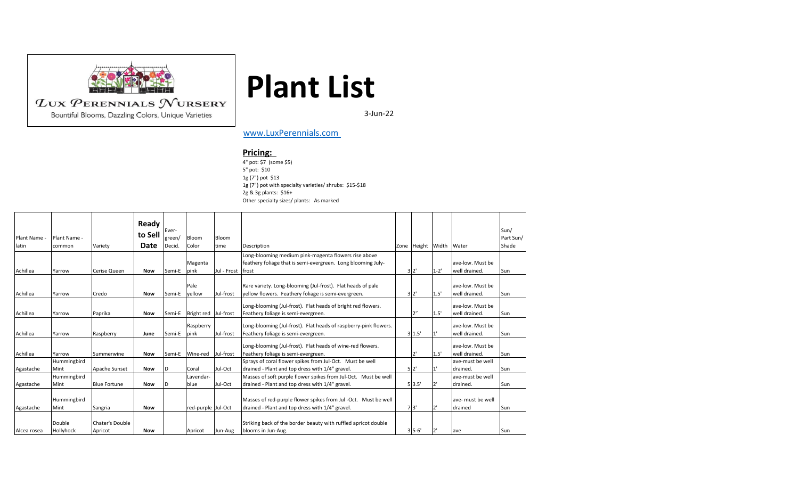

Bountiful Blooms, Dazzling Colors, Unique Varieties

## **Plant List**

3-Jun-22

## [www.LuxPerennials.com](http://www.luxperennials.com/)

## **Pricing:**

4" pot: \$7 (some \$5) 5" pot: \$10 1g (7") pot \$13 1g (7") pot with specialty varieties/ shrubs: \$15-\$18 2g & 3g plants: \$16+ Other specialty sizes/ plants: As marked

| Plant Name<br>latin | Plant Name -<br>common | Variety                    | Ready<br>to Sell<br>Date | Ever-<br>green/<br>Decid. | Bloom<br>Color              | Bloom<br>time | Description                                                                                                        | Zone Height | Width    | Water                             | Sun/<br>Part Sun/<br>Shade |
|---------------------|------------------------|----------------------------|--------------------------|---------------------------|-----------------------------|---------------|--------------------------------------------------------------------------------------------------------------------|-------------|----------|-----------------------------------|----------------------------|
|                     |                        |                            |                          |                           |                             |               | Long-blooming medium pink-magenta flowers rise above                                                               |             |          |                                   |                            |
|                     |                        |                            |                          |                           | Magenta                     |               | feathery foliage that is semi-evergreen. Long blooming July-                                                       |             |          | ave-low. Must be                  |                            |
| Achillea            | Yarrow                 | Cerise Queen               | <b>Now</b>               | Semi-E                    | pink                        | Jul - Frost   | frost                                                                                                              | 3'2'        | $1 - 2'$ | well drained.                     | Sun                        |
| Achillea            | Yarrow                 | Credo                      | <b>Now</b>               | Semi-E                    | Pale<br>vellow              | Jul-frost     | Rare variety. Long-blooming (Jul-frost). Flat heads of pale<br>yellow flowers. Feathery foliage is semi-evergreen. | 3'2'        | 1.5'     | ave-low. Must be<br>well drained. | Sun                        |
| Achillea            | Yarrow                 | Paprika                    | <b>Now</b>               |                           | Semi-E Bright red Jul-frost |               | Long-blooming (Jul-frost). Flat heads of bright red flowers.<br>Feathery foliage is semi-evergreen.                | つい          | 1.5'     | ave-low. Must be<br>well drained. | Sun                        |
| Achillea            | Yarrow                 | Raspberry                  | June                     | Semi-E                    | Raspberry<br>pink           | Jul-frost     | Long-blooming (Jul-frost). Flat heads of raspberry-pink flowers.<br>Feathery foliage is semi-evergreen.            | 3 1.5       |          | ave-low. Must be<br>well drained. | Sun                        |
| Achillea            | Yarrow                 | Summerwine                 | <b>Now</b>               |                           | Semi-E Wine-red             | Jul-frost     | Long-blooming (Jul-frost). Flat heads of wine-red flowers.<br>Feathery foliage is semi-evergreen.                  | יכ          | 1.5'     | ave-low. Must be<br>well drained. | Sun                        |
|                     | Hummingbird            |                            |                          |                           |                             |               | Sprays of coral flower spikes from Jul-Oct. Must be well                                                           |             |          | ave-must be well                  |                            |
| Agastache           | Mint                   | Apache Sunset              | <b>Now</b>               | ID                        | Coral                       | Jul-Oct       | drained - Plant and top dress with 1/4" gravel.                                                                    | 5'2'        |          | drained.                          | Sun                        |
| Agastache           | Hummingbird<br>Mint    | <b>Blue Fortune</b>        | <b>Now</b>               |                           | Lavendar-<br>blue           | Jul-Oct       | Masses of soft purple flower spikes from Jul-Oct. Must be well<br>drained - Plant and top dress with 1/4" gravel.  | 5 3.5'      | 2'       | ave-must be well<br>drained.      | Sun                        |
| Agastache           | Hummingbird<br>Mint    | Sangria                    | <b>Now</b>               |                           | red-purple Jul-Oct          |               | Masses of red-purple flower spikes from Jul -Oct. Must be well<br>drained - Plant and top dress with 1/4" gravel.  | 7'3'        | 2'       | ave- must be well<br>drained      | Sun                        |
| Alcea rosea         | Double<br>Hollyhock    | Chater's Double<br>Apricot | <b>Now</b>               |                           | Apricot                     | Jun-Aug       | Striking back of the border beauty with ruffled apricot double<br>blooms in Jun-Aug.                               | $3'5-6'$    | 2'       | ave                               | Sun                        |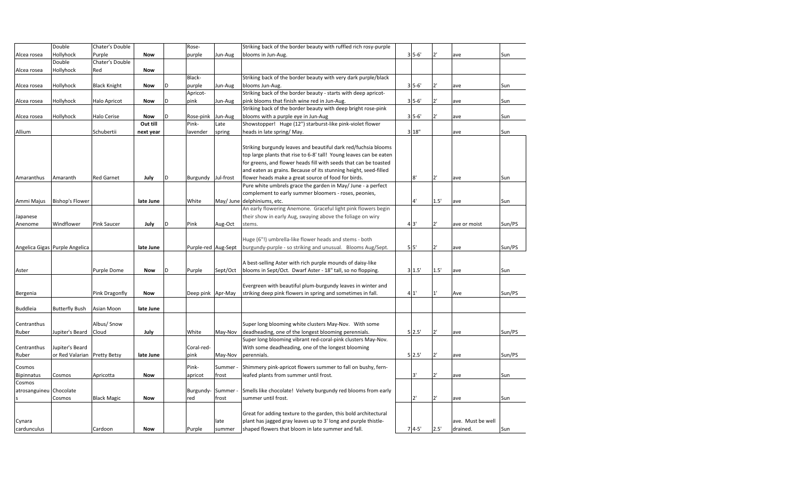|                         | Double                         | Chater's Double     |            |   | Rose-               |           | Striking back of the border beauty with ruffled rich rosy-purple   |                |              |                   |        |
|-------------------------|--------------------------------|---------------------|------------|---|---------------------|-----------|--------------------------------------------------------------------|----------------|--------------|-------------------|--------|
| Alcea rosea             | Hollyhock                      | Purple              | <b>Now</b> |   | purple              | Jun-Aug   | blooms in Jun-Aug.                                                 | $3'5-6'$       |              | ave               | Sun    |
|                         | Double                         | Chater's Double     |            |   |                     |           |                                                                    |                |              |                   |        |
| Alcea rosea             | Hollyhock                      | Red                 | <b>Now</b> |   |                     |           |                                                                    |                |              |                   |        |
|                         |                                |                     |            |   | Black-              |           | Striking back of the border beauty with very dark purple/black     |                |              |                   |        |
| Alcea rosea             | Hollyhock                      | <b>Black Knight</b> | Now        | D | purple              | Jun-Aug   | blooms Jun-Aug.                                                    | $35 - 6'$      | 2'           | ave               | Sun    |
|                         |                                |                     |            |   | Apricot-            |           | Striking back of the border beauty - starts with deep apricot-     |                |              |                   |        |
| Alcea rosea             | Hollyhock                      | Halo Apricot        | Now        | D | pink                | Jun-Aug   | pink blooms that finish wine red in Jun-Aug.                       | $35 - 6'$      | 2'           | ave               | Sun    |
|                         |                                |                     |            |   |                     |           | Striking back of the border beauty with deep bright rose-pink      |                |              |                   |        |
| Alcea rosea             | Hollyhock                      | Halo Cerise         | <b>Now</b> | D | Rose-pink           | Jun-Aug   | blooms with a purple eye in Jun-Aug                                | $35 - 6'$      | 2'           | ave               | Sun    |
|                         |                                |                     | Out till   |   | Pink-               | Late      | Showstopper! Huge (12") starburst-like pink-violet flower          |                |              |                   |        |
| Allium                  |                                | Schubertii          | next year  |   | lavender            | spring    | heads in late spring/ May.                                         | 3 18"          |              | ave               | Sun    |
|                         |                                |                     |            |   |                     |           |                                                                    |                |              |                   |        |
|                         |                                |                     |            |   |                     |           | Striking burgundy leaves and beautiful dark red/fuchsia blooms     |                |              |                   |        |
|                         |                                |                     |            |   |                     |           | top large plants that rise to 6-8' tall! Young leaves can be eaten |                |              |                   |        |
|                         |                                |                     |            |   |                     |           | for greens, and flower heads fill with seeds that can be toasted   |                |              |                   |        |
|                         |                                |                     |            |   |                     |           | and eaten as grains. Because of its stunning height, seed-filled   |                |              |                   |        |
| Amaranthus              | Amaranth                       | <b>Red Garnet</b>   | July       | D | Burgundy            | Jul-frost | flower heads make a great source of food for birds.                | 8'             | 2'           | ave               | Sun    |
|                         |                                |                     |            |   |                     |           | Pure white umbrels grace the garden in May/ June - a perfect       |                |              |                   |        |
|                         |                                |                     |            |   |                     |           | complement to early summer bloomers - roses, peonies,              |                |              |                   |        |
| Ammi Majus              | Bishop's Flower                |                     | late June  |   | White               |           | May/ June delphiniums, etc.                                        | 4'             | 1.5'         | ave               | Sun    |
|                         |                                |                     |            |   |                     |           | An early flowering Anemone. Graceful light pink flowers begin      |                |              |                   |        |
| Japanese                |                                |                     |            |   |                     |           | their show in early Aug, swaying above the foliage on wiry         |                |              |                   |        |
| Anenome                 | Windflower                     | <b>Pink Saucer</b>  | July       | D | Pink                | Aug-Oct   | stems.                                                             | 43'            | 2'           | ave or moist      | Sun/PS |
|                         |                                |                     |            |   |                     |           |                                                                    |                |              |                   |        |
|                         |                                |                     |            |   |                     |           | Huge (6"!) umbrella-like flower heads and stems - both             |                |              |                   |        |
|                         | Angelica Gigas Purple Angelica |                     | late June  |   | Purple-red Aug-Sept |           | burgundy-purple - so striking and unusual. Blooms Aug/Sept.        | 5 <sup>1</sup> | 2'           | ave               | Sun/PS |
|                         |                                |                     |            |   |                     |           |                                                                    |                |              |                   |        |
|                         |                                |                     |            |   |                     |           | A best-selling Aster with rich purple mounds of daisy-like         |                |              |                   |        |
| Aster                   |                                | Purple Dome         | Now        |   | Purple              | Sept/Oct  | blooms in Sept/Oct. Dwarf Aster - 18" tall, so no flopping.        | 3 1.5'         | 1.5'         | ave               | Sun    |
|                         |                                |                     |            |   |                     |           |                                                                    |                |              |                   |        |
|                         |                                |                     |            |   |                     |           | Evergreen with beautiful plum-burgundy leaves in winter and        |                |              |                   |        |
| Bergenia                |                                | Pink Dragonfly      | <b>Now</b> |   | Deep pink Apr-May   |           | striking deep pink flowers in spring and sometimes in fall.        | 41'            | 1'           | Ave               | Sun/PS |
|                         |                                |                     |            |   |                     |           |                                                                    |                |              |                   |        |
| Buddleia                | <b>Butterfly Bush</b>          | Asian Moon          | late June  |   |                     |           |                                                                    |                |              |                   |        |
|                         |                                |                     |            |   |                     |           |                                                                    |                |              |                   |        |
| Centranthus             |                                | Albus/ Snow         |            |   |                     |           | Super long blooming white clusters May-Nov. With some              |                |              |                   |        |
| Ruber                   | Jupiter's Beard                | Cloud               | July       |   | White               | May-Nov   | deadheading, one of the longest blooming perennials.               | 5'2.5'         | $2^{\prime}$ | ave               | Sun/PS |
|                         |                                |                     |            |   |                     |           | Super long blooming vibrant red-coral-pink clusters May-Nov.       |                |              |                   |        |
| Centranthus             | Jupiter's Beard                |                     |            |   | Coral-red-          |           | With some deadheading, one of the longest blooming                 |                |              |                   |        |
| Ruber                   | or Red Valarian                | <b>Pretty Betsy</b> | late June  |   | pink                | May-Nov   | perennials.                                                        | 5'2.5'         | 2'           | ave               | Sun/PS |
|                         |                                |                     |            |   |                     |           |                                                                    |                |              |                   |        |
| Cosmos                  |                                |                     |            |   | Pink-               | Summer    | Shimmery pink-apricot flowers summer to fall on bushy, fern-       |                |              |                   |        |
| <b>Bipinnatus</b>       | Cosmos                         | Apricotta           | Now        |   | apricot             | frost     | leafed plants from summer until frost.                             | 3'             | 2'           | ave               | Sun    |
| Cosmos                  |                                |                     |            |   |                     |           |                                                                    |                |              |                   |        |
| atrosanguineu Chocolate |                                |                     |            |   | Burgundy-           | Summer    | Smells like chocolate! Velvety burgundy red blooms from early      |                |              |                   |        |
|                         | Cosmos                         | <b>Black Magic</b>  | Now        |   | red                 | frost     | summer until frost.                                                | $2^{\prime}$   | 2'           | ave               | Sun    |
|                         |                                |                     |            |   |                     |           |                                                                    |                |              |                   |        |
|                         |                                |                     |            |   |                     |           | Great for adding texture to the garden, this bold architectural    |                |              |                   |        |
| Cynara                  |                                |                     |            |   |                     | late      | plant has jagged gray leaves up to 3' long and purple thistle-     |                |              | ave. Must be well |        |
| cardunculus             |                                | Cardoon             | <b>Now</b> |   | Purple              | summer    | shaped flowers that bloom in late summer and fall.                 | $74-5'$        | 2.5'         | drained.          | Sun    |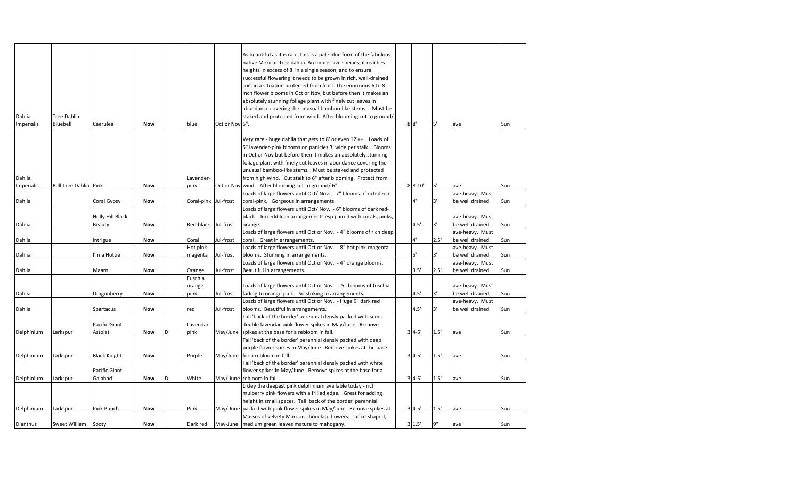| Dianthus   | Sweet William Sooty   |                     | Now        |   | Dark red   |                | May-June   medium green leaves mature to mahogany.                                                                                    | 3'1.5'    | 9"   | ave              | Sun |
|------------|-----------------------|---------------------|------------|---|------------|----------------|---------------------------------------------------------------------------------------------------------------------------------------|-----------|------|------------------|-----|
|            |                       |                     |            |   |            |                | Masses of velvety Maroon-chocolate flowers. Lance-shaped,                                                                             |           |      |                  |     |
| Delphinium | Larkspur              | Pink Punch          | Now        |   | Pink       |                | May/June packed with pink flower spikes in May/June. Remove spikes at                                                                 | $34-5'$   | 1.5' | ave              | Sun |
|            |                       |                     |            |   |            |                | height in small spaces. Tall 'back of the border' perennial                                                                           |           |      |                  |     |
|            |                       |                     |            |   |            |                | mulberry pink flowers with a frilled edge. Great for adding                                                                           |           |      |                  |     |
|            |                       |                     |            |   |            |                | Likley the deepest pink delphinium available today - rich                                                                             |           |      |                  |     |
| Delphinium | Larkspur              | Galahad             | <b>Now</b> | D | White      |                | May/ June rebloom in fall.                                                                                                            | $3'4-5'$  | 1.5' | ave              | Sun |
|            |                       | Pacific Giant       |            |   |            |                | flower spikes in May/June. Remove spikes at the base for a                                                                            |           |      |                  |     |
|            |                       |                     |            |   |            |                | Tall 'back of the border' perennial densly packed with white                                                                          |           |      |                  |     |
| Delphinium | Larkspur              | <b>Black Knight</b> | <b>Now</b> |   | Purple     |                | May/June for a rebloom in fall.                                                                                                       | $3'4-5'$  | 1.5' | ave              | Sun |
|            |                       |                     |            |   |            |                | purple flower spikes in May/June. Remove spikes at the base                                                                           |           |      |                  |     |
|            |                       |                     |            |   |            |                | Tall 'back of the border' perennial densly packed with deep                                                                           |           |      |                  |     |
| Delphinium | Larkspur              | Astolat             | <b>Now</b> | D | pink       |                | May/June spikes at the base for a rebloom in fall.                                                                                    | $3'4-5'$  | 1.5' | ave              | Sun |
|            |                       | Pacific Giant       |            |   | Lavendar-  |                | double lavendar-pink flower spikes in May/June. Remove                                                                                |           |      |                  |     |
|            |                       |                     |            |   |            |                | Tall 'back of the border' perennial densly packed with semi-                                                                          |           |      |                  |     |
| Dahlia     |                       | Spartacus           | <b>Now</b> |   | red        | Jul-frost      | blooms. Beautiful in arrangements.                                                                                                    | 4.5'      | 3'   | be well drained. | Sun |
|            |                       |                     |            |   |            |                | Loads of large flowers until Oct or Nov. - Huge 9" dark red                                                                           |           |      | ave-heavy. Must  |     |
| Dahlia     |                       | Dragonberry         | <b>Now</b> |   | pink       | Jul-frost      | fading to orange-pink. So striking in arrangements.                                                                                   | 4.5'      | 3'   | be well drained. | Sun |
|            |                       |                     |            |   | orange     |                | Loads of large flowers until Oct or Nov. - 5" blooms of fuschia                                                                       |           |      | ave-heavy. Must  |     |
|            |                       |                     |            |   | Fuschia    |                |                                                                                                                                       |           |      |                  |     |
| Dahlia     |                       | Maarn               | <b>Now</b> |   | Orange     | Jul-frost      | Beautiful in arrangements.                                                                                                            | 3.5'      | 2.5' | be well drained. | Sun |
|            |                       |                     |            |   |            |                | Loads of large flowers until Oct or Nov. - 4" orange blooms.                                                                          |           |      | ave-heavy. Must  |     |
| Dahlia     |                       | I'm a Hottie        | <b>Now</b> |   | magenta    | Jul-frost      | blooms. Stunning in arrangements.                                                                                                     | 5'        | 3'   | be well drained. | Sun |
|            |                       |                     |            |   | Hot pink-  |                | Loads of large flowers until Oct or Nov. - 8" hot pink-magenta                                                                        |           |      | ave-heavy. Must  |     |
| Dahlia     |                       | Intrigue            | <b>Now</b> |   | Coral      | Jul-frost      | coral. Great in arrangements.                                                                                                         | 4'        | 2.5' | be well drained. | Sun |
|            |                       |                     |            |   |            |                | Loads of large flowers until Oct or Nov. - 4" blooms of rich deep                                                                     |           |      | ave-heavy. Must  |     |
| Dahlia     |                       | Beauty              | Now        |   | Red-black  | Jul-frost      | orange.                                                                                                                               | 4.5'      | 3'   | be well drained. | Sun |
|            |                       | Holly Hill Black    |            |   |            |                | black. Incredible in arrangements esp paired with corals, pinks,                                                                      |           |      | ave-heavy. Must  |     |
|            |                       |                     |            |   |            |                | Loads of large flowers until Oct/ Nov. - 6" blooms of dark red-                                                                       |           |      |                  |     |
| Dahlia     |                       | Coral Gypsy         | Now        |   | Coral-pink | Jul-frost      | coral-pink. Gorgeous in arrangements.                                                                                                 | 4'        | 3'   | be well drained. | Sun |
|            |                       |                     |            |   |            |                | Loads of large flowers until Oct/ Nov. - 7" blooms of rich deep                                                                       |           |      | ave-heavy. Must  |     |
| Imperialis | Bell Tree Dahlia Pink |                     | Now        |   | pink       |                | Oct or Nov wind. After blooming cut to ground/6".                                                                                     | $8 8-10$  | 5'   | ave              | Sun |
| Dahlia     |                       |                     |            |   | Lavender-  |                | from high wind. Cut stalk to 6" after blooming. Protect from                                                                          |           |      |                  |     |
|            |                       |                     |            |   |            |                | unusual bamboo-like stems. Must be staked and protected                                                                               |           |      |                  |     |
|            |                       |                     |            |   |            |                | foliage plant with finely cut leaves in abundance covering the                                                                        |           |      |                  |     |
|            |                       |                     |            |   |            |                | in Oct or Nov but before then it makes an absolutely stunning                                                                         |           |      |                  |     |
|            |                       |                     |            |   |            |                | 5" lavender-pink blooms on panicles 3' wide per stalk. Blooms                                                                         |           |      |                  |     |
|            |                       |                     |            |   |            |                | Very rare - huge dahlia that gets to 8' or even 12'++. Loads of                                                                       |           |      |                  |     |
|            |                       |                     |            |   |            |                |                                                                                                                                       |           |      |                  |     |
| Imperialis | Bluebell              | Caerulea            | Now        |   | blue       | Oct or Nov 6". |                                                                                                                                       | $8 \; 8'$ | 5'   | ave              | Sun |
| Dahlia     | <b>Tree Dahlia</b>    |                     |            |   |            |                | staked and protected from wind. After blooming cut to ground/                                                                         |           |      |                  |     |
|            |                       |                     |            |   |            |                | abundance covering the unusual bamboo-like stems. Must be                                                                             |           |      |                  |     |
|            |                       |                     |            |   |            |                | absolutely stunning foliage plant with finely cut leaves in                                                                           |           |      |                  |     |
|            |                       |                     |            |   |            |                | inch flower blooms in Oct or Nov, but before then it makes an                                                                         |           |      |                  |     |
|            |                       |                     |            |   |            |                | soil, in a situation protected from frost. The enormous 6 to 8                                                                        |           |      |                  |     |
|            |                       |                     |            |   |            |                | successful flowering it needs to be grown in rich, well-drained                                                                       |           |      |                  |     |
|            |                       |                     |            |   |            |                | heights in excess of 8' in a single season, and to ensure                                                                             |           |      |                  |     |
|            |                       |                     |            |   |            |                | As beautiful as it is rare, this is a pale blue form of the fabulous<br>native Mexican tree dahlia. An impressive species, it reaches |           |      |                  |     |
|            |                       |                     |            |   |            |                |                                                                                                                                       |           |      |                  |     |
|            |                       |                     |            |   |            |                |                                                                                                                                       |           |      |                  |     |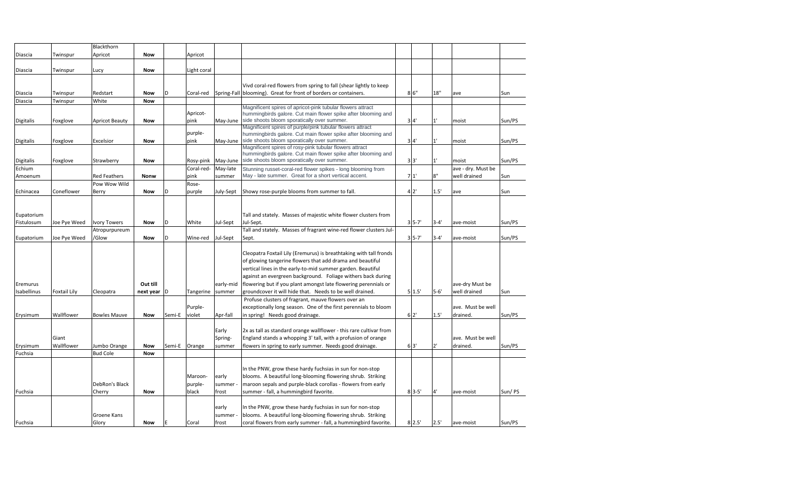|                  |                     | Blackthorn            |            |        |             |           |                                                                                                                             |                |              |                    |        |
|------------------|---------------------|-----------------------|------------|--------|-------------|-----------|-----------------------------------------------------------------------------------------------------------------------------|----------------|--------------|--------------------|--------|
| Diascia          | Twinspur            | Apricot               | <b>Now</b> |        | Apricot     |           |                                                                                                                             |                |              |                    |        |
|                  |                     |                       |            |        |             |           |                                                                                                                             |                |              |                    |        |
| Diascia          | Twinspur            | Lucy                  | <b>Now</b> |        | Light coral |           |                                                                                                                             |                |              |                    |        |
|                  |                     |                       |            |        |             |           |                                                                                                                             |                |              |                    |        |
|                  |                     |                       |            |        |             |           | Vivd coral-red flowers from spring to fall (shear lightly to keep                                                           |                |              |                    |        |
| Diascia          | Twinspur            | Redstart              | Now        |        | Coral-red   |           | Spring-Fall blooming). Great for front of borders or containers.                                                            | 86"            | 18"          | ave                | Sun    |
| Diascia          | Twinspur            | White                 | <b>Now</b> |        |             |           |                                                                                                                             |                |              |                    |        |
|                  |                     |                       |            |        | Apricot-    |           | Magnificent spires of apricot-pink tubular flowers attract<br>hummingbirds galore. Cut main flower spike after blooming and |                |              |                    |        |
| Digitalis        | Foxglove            | <b>Apricot Beauty</b> | <b>Now</b> |        | pink        |           | May-June side shoots bloom sporatically over summer.                                                                        | 3 <sup>4</sup> | $1^{\prime}$ | moist              | Sun/PS |
|                  |                     |                       |            |        |             |           | Magnificent spires of purple/pink tubular flowers attract                                                                   |                |              |                    |        |
|                  |                     |                       |            |        | purple-     |           | hummingbirds galore. Cut main flower spike after blooming and                                                               |                |              |                    |        |
| <b>Digitalis</b> | Foxglove            | Excelsior             | <b>Now</b> |        | pink        | May-June  | side shoots bloom sporatically over summer.                                                                                 | 3 <sup>4</sup> | $1^{\circ}$  | moist              | Sun/PS |
|                  |                     |                       |            |        |             |           | Magnificent spires of rosy-pink tubular flowers attract<br>hummingbirds galore. Cut main flower spike after blooming and    |                |              |                    |        |
| <b>Digitalis</b> | Foxglove            | Strawberry            | <b>Now</b> |        | Rosy-pink   | May-June  | side shoots bloom sporatically over summer.                                                                                 | 3'3'           | $1^{\circ}$  | moist              | Sun/PS |
| Echium           |                     |                       |            |        | Coral-red-  | May-late  | Stunning russet-coral-red flower spikes - long blooming from                                                                |                |              | ave - dry. Must be |        |
| Amoenum          |                     | <b>Red Feathers</b>   | Nonw       |        | pink        | summer    | May - late summer. Great for a short vertical accent.                                                                       | 71'            | 8"           | well drained       | Sun    |
|                  |                     | Pow Wow Wild          |            |        | Rose-       |           |                                                                                                                             |                |              |                    |        |
| Echinacea        | Coneflower          | Berry                 | <b>Now</b> |        | purple      | July-Sept | Showy rose-purple blooms from summer to fall.                                                                               | 42'            | 1.5'         | ave                | Sun    |
|                  |                     |                       |            |        |             |           |                                                                                                                             |                |              |                    |        |
|                  |                     |                       |            |        |             |           |                                                                                                                             |                |              |                    |        |
| Eupatorium       |                     |                       |            |        |             |           | Tall and stately. Masses of majestic white flower clusters from                                                             |                |              |                    |        |
| Fistulosum       | Joe Pye Weed        | <b>Ivory Towers</b>   | <b>Now</b> | D      | White       | Jul-Sept  | Jul-Sept.                                                                                                                   | $3 5-7$        | $3 - 4'$     | ave-moist          | Sun/PS |
|                  |                     | Atropurpureum         |            |        |             |           | Tall and stately. Masses of fragrant wine-red flower clusters Jul-                                                          |                |              |                    |        |
| Eupatorium       | Joe Pye Weed        | /Glow                 | <b>Now</b> |        | Wine-red    | Jul-Sept  | Sept.                                                                                                                       | $35 - 7'$      | $3 - 4'$     | ave-moist          | Sun/PS |
|                  |                     |                       |            |        |             |           |                                                                                                                             |                |              |                    |        |
|                  |                     |                       |            |        |             |           | Cleopatra Foxtail Lily (Eremurus) is breathtaking with tall fronds                                                          |                |              |                    |        |
|                  |                     |                       |            |        |             |           | of glowing tangerine flowers that add drama and beautiful                                                                   |                |              |                    |        |
|                  |                     |                       |            |        |             |           | vertical lines in the early-to-mid summer garden. Beautiful                                                                 |                |              |                    |        |
|                  |                     |                       |            |        |             |           | against an evergreen background. Foliage withers back during                                                                |                |              |                    |        |
| Eremurus         |                     |                       | Out till   |        |             | early-mid | flowering but if you plant amongst late flowering perennials or                                                             |                |              | ave-dry Must be    |        |
| Isabellinus      | <b>Foxtail Lily</b> | Cleopatra             | next year  |        | Tangerine   | summer    | groundcover it will hide that. Needs to be well drained.                                                                    | 5'1.5'         | $5 - 6'$     | well drained       | Sun    |
|                  |                     |                       |            |        |             |           | Profuse clusters of fragrant, mauve flowers over an                                                                         |                |              |                    |        |
|                  |                     |                       |            |        | Purple-     |           | exceptionally long season. One of the first perennials to bloom                                                             |                |              | ave. Must be well  |        |
| Erysimum         | Wallflower          | <b>Bowles Mauve</b>   | <b>Now</b> | Semi-E | violet      | Apr-fall  | in spring! Needs good drainage.                                                                                             | 62'            | 1.5'         | drained.           | Sun/PS |
|                  |                     |                       |            |        |             | Early     | 2x as tall as standard orange wallflower - this rare cultivar from                                                          |                |              |                    |        |
|                  | Giant               |                       |            |        |             | Spring-   | England stands a whopping 3' tall, with a profusion of orange                                                               |                |              | ave. Must be well  |        |
| Erysimum         | Wallflower          | Jumbo Orange          | <b>Now</b> | Semi-E | Orange      | summer    | flowers in spring to early summer. Needs good drainage.                                                                     | 63'            | 2'           | drained.           | Sun/PS |
| Fuchsia          |                     | <b>Bud Cole</b>       | <b>Now</b> |        |             |           |                                                                                                                             |                |              |                    |        |
|                  |                     |                       |            |        |             |           |                                                                                                                             |                |              |                    |        |
|                  |                     |                       |            |        |             |           | In the PNW, grow these hardy fuchsias in sun for non-stop                                                                   |                |              |                    |        |
|                  |                     |                       |            |        | Maroon-     | early     | blooms. A beautiful long-blooming flowering shrub. Striking                                                                 |                |              |                    |        |
|                  |                     | DebRon's Black        |            |        | purple-     | summer    | maroon sepals and purple-black corollas - flowers from early                                                                |                |              |                    |        |
| Fuchsia          |                     | Cherry                | <b>Now</b> |        | black       | frost     | summer - fall, a hummingbird favorite.                                                                                      | $8'3-5'$       | 4'           | ave-moist          | Sun/PS |
|                  |                     |                       |            |        |             |           |                                                                                                                             |                |              |                    |        |
|                  |                     |                       |            |        |             | early     | In the PNW, grow these hardy fuchsias in sun for non-stop                                                                   |                |              |                    |        |
|                  |                     | Groene Kans           |            |        |             | summer -  | blooms. A beautiful long-blooming flowering shrub. Striking                                                                 |                |              |                    |        |
| Fuchsia          |                     | Glory                 | Now        | E      | Coral       | frost     | coral flowers from early summer - fall, a hummingbird favorite.                                                             | 8'2.5'         | 2.5'         | ave-moist          | Sun/PS |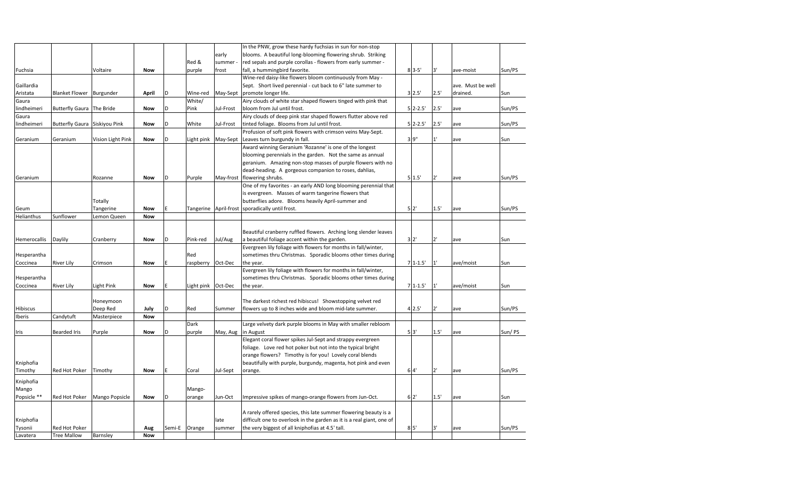|              |                               |                   |            |        |            |           | In the PNW, grow these hardy fuchsias in sun for non-stop             |                 |              |                   |        |
|--------------|-------------------------------|-------------------|------------|--------|------------|-----------|-----------------------------------------------------------------------|-----------------|--------------|-------------------|--------|
|              |                               |                   |            |        |            | early     | blooms. A beautiful long-blooming flowering shrub. Striking           |                 |              |                   |        |
|              |                               |                   |            |        | Red &      | summer    | red sepals and purple corollas - flowers from early summer -          |                 |              |                   |        |
| Fuchsia      |                               | Voltaire          | <b>Now</b> |        | purple     | frost     | fall, a hummingbird favorite.                                         | $8'3-5'$        | 3'           | ave-moist         | Sun/PS |
|              |                               |                   |            |        |            |           | Wine-red daisy-like flowers bloom continuously from May -             |                 |              |                   |        |
|              |                               |                   |            |        |            |           |                                                                       |                 |              |                   |        |
| Gaillardia   |                               |                   |            |        |            |           | Sept. Short lived perennial - cut back to 6" late summer to           |                 |              | ave. Must be well |        |
| Aristata     | Blanket Flower Burgunder      |                   | April      |        | Wine-red   | May-Sept  | promote longer life.                                                  | 3'2.5'          | 2.5'         | drained.          | Sun    |
| Gaura        |                               |                   |            |        | White/     |           | Airy clouds of white star shaped flowers tinged with pink that        |                 |              |                   |        |
| lindheimeri  | Butterfly Gaura The Bride     |                   | <b>Now</b> |        | Pink       | Jul-Frost | bloom from Jul until frost.                                           | $5$ 2-2.5'      | 2.5'         | ave               | Sun/PS |
| Gaura        |                               |                   |            |        |            |           | Airy clouds of deep pink star shaped flowers flutter above red        |                 |              |                   |        |
| lindheimeri  | Butterfly Gaura Siskiyou Pink |                   | <b>Now</b> |        | White      | Jul-Frost | tinted foliage. Blooms from Jul until frost.                          | $5$ 2-2.5'      | 2.5'         | ave               | Sun/PS |
|              |                               |                   |            |        |            |           | Profusion of soft pink flowers with crimson veins May-Sept.           |                 |              |                   |        |
| Geranium     | Geranium                      | Vision Light Pink | <b>Now</b> |        | Light pink | May-Sept  | Leaves turn burgundy in fall.                                         | 3'9''           | 1'           | ave               | Sun    |
|              |                               |                   |            |        |            |           | Award winning Geranium 'Rozanne' is one of the longest                |                 |              |                   |        |
|              |                               |                   |            |        |            |           | blooming perennials in the garden. Not the same as annual             |                 |              |                   |        |
|              |                               |                   |            |        |            |           | geranium. Amazing non-stop masses of purple flowers with no           |                 |              |                   |        |
|              |                               |                   |            |        |            |           |                                                                       |                 |              |                   |        |
|              |                               |                   |            |        |            |           | dead-heading. A gorgeous companion to roses, dahlias,                 |                 |              |                   |        |
| Geranium     |                               | Rozanne           | <b>Now</b> | D      | Purple     |           | May-frost flowering shrubs.                                           | $5^{\circ}1.5'$ | 2'           | ave               | Sun/PS |
|              |                               |                   |            |        |            |           | One of my favorites - an early AND long blooming perennial that       |                 |              |                   |        |
|              |                               |                   |            |        |            |           | is evergreen. Masses of warm tangerine flowers that                   |                 |              |                   |        |
|              |                               | Totally           |            |        |            |           | butterflies adore. Blooms heavily April-summer and                    |                 |              |                   |        |
| Geum         |                               | Tangerine         | <b>Now</b> |        | Tangerine  |           | April-frost sporadically until frost.                                 | 5 <sup>2</sup>  | 1.5'         | ave               | Sun/PS |
| Helianthus   | Sunflower                     | Lemon Queen       | <b>Now</b> |        |            |           |                                                                       |                 |              |                   |        |
|              |                               |                   |            |        |            |           |                                                                       |                 |              |                   |        |
|              |                               |                   |            |        |            |           | Beautiful cranberry ruffled flowers. Arching long slender leaves      |                 |              |                   |        |
| Hemerocallis | Daylily                       | Cranberry         | <b>Now</b> |        | Pink-red   | Jul/Aug   | a beautiful foliage accent within the garden.                         | 3'2'            | 2'           | ave               | Sun    |
|              |                               |                   |            |        |            |           | Evergreen lily foliage with flowers for months in fall/winter,        |                 |              |                   |        |
|              |                               |                   |            |        | Red        |           | sometimes thru Christmas. Sporadic blooms other times during          |                 |              |                   |        |
| Hesperantha  |                               |                   |            |        |            |           |                                                                       |                 |              |                   |        |
| Coccinea     | River Lily                    | Crimson           | <b>Now</b> |        | raspberry  | Oct-Dec   | the year.                                                             | $71-1.5'$       | $1^{\prime}$ | ave/moist         | Sun    |
|              |                               |                   |            |        |            |           | Evergreen lily foliage with flowers for months in fall/winter,        |                 |              |                   |        |
| Hesperantha  |                               |                   |            |        |            |           | sometimes thru Christmas. Sporadic blooms other times during          |                 |              |                   |        |
| Coccinea     | <b>River Lily</b>             | Light Pink        | <b>Now</b> |        | Light pink | Oct-Dec   | the year.                                                             | $71-1.5'$       | 1'           | ave/moist         | Sun    |
|              |                               |                   |            |        |            |           |                                                                       |                 |              |                   |        |
|              |                               | Honeymoon         |            |        |            |           | The darkest richest red hibiscus! Showstopping velvet red             |                 |              |                   |        |
| Hibiscus     |                               | Deep Red          | July       |        | Red        | Summer    | flowers up to 8 inches wide and bloom mid-late summer.                | 4'2.5'          | 2'           | ave               | Sun/PS |
| Iberis       | Candytuft                     | Masterpiece       | <b>Now</b> |        |            |           |                                                                       |                 |              |                   |        |
|              |                               |                   |            |        | Dark       |           | Large velvety dark purple blooms in May with smaller rebloom          |                 |              |                   |        |
| Iris         | <b>Bearded Iris</b>           | Purple            | <b>Now</b> | D      | purple     | May, Aug  | in August                                                             | $5'3'$          | 1.5'         | ave               | Sun/PS |
|              |                               |                   |            |        |            |           | Elegant coral flower spikes Jul-Sept and strappy evergreen            |                 |              |                   |        |
|              |                               |                   |            |        |            |           |                                                                       |                 |              |                   |        |
|              |                               |                   |            |        |            |           | foliage. Love red hot poker but not into the typical bright           |                 |              |                   |        |
|              |                               |                   |            |        |            |           | orange flowers? Timothy is for you! Lovely coral blends               |                 |              |                   |        |
| Kniphofia    |                               |                   |            |        |            |           | beautifully with purple, burgundy, magenta, hot pink and even         |                 |              |                   |        |
| Timothy      | Red Hot Poker                 | Timothy           | <b>Now</b> |        | Coral      | Jul-Sept  | orange.                                                               | 64'             | 2'           | ave               | Sun/PS |
| Kniphofia    |                               |                   |            |        |            |           |                                                                       |                 |              |                   |        |
|              |                               |                   |            |        | Mango-     |           |                                                                       |                 |              |                   |        |
| Mango        |                               |                   |            |        |            |           |                                                                       |                 |              |                   |        |
| Popsicle **  | Red Hot Poker                 | Mango Popsicle    | <b>Now</b> |        | orange     | Jun-Oct   | Impressive spikes of mango-orange flowers from Jun-Oct.               | 62'             | 1.5'         | ave               | Sun    |
|              |                               |                   |            |        |            |           |                                                                       |                 |              |                   |        |
|              |                               |                   |            |        |            |           | A rarely offered species, this late summer flowering beauty is a      |                 |              |                   |        |
| Kniphofia    |                               |                   |            |        |            | late      | difficult one to overlook in the garden as it is a real giant, one of |                 |              |                   |        |
| Tysonii      | Red Hot Poker                 |                   | Aug        | Semi-E | Orange     | summer    | the very biggest of all kniphofias at 4.5' tall.                      | 8 <sup>5</sup>  | 3'           | ave               | Sun/PS |
| Lavatera     | <b>Tree Mallow</b>            | Barnsley          | <b>Now</b> |        |            |           |                                                                       |                 |              |                   |        |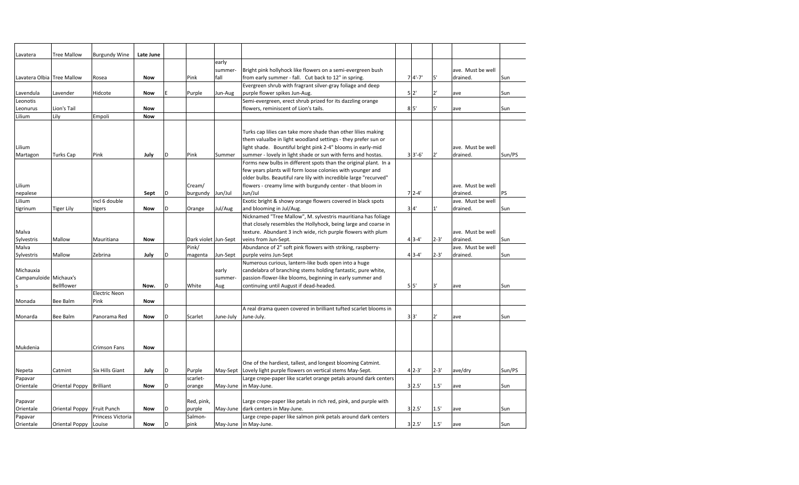| Lavatera                   | <b>Tree Mallow</b>         | <b>Burgundy Wine</b> | Late June  |   |                      |           |                                                                   |                |          |                   |        |
|----------------------------|----------------------------|----------------------|------------|---|----------------------|-----------|-------------------------------------------------------------------|----------------|----------|-------------------|--------|
|                            |                            |                      |            |   |                      | early     |                                                                   |                |          |                   |        |
|                            |                            |                      |            |   |                      | summer-   | Bright pink hollyhock like flowers on a semi-evergreen bush       |                |          | ave. Must be well |        |
| Lavatera Olbia Tree Mallow |                            | Rosea                | <b>Now</b> |   | Pink                 | fall      | from early summer - fall. Cut back to 12" in spring.              | $74' - 7'$     | 5'       | drained.          | Sun    |
|                            |                            |                      |            |   |                      |           | Evergreen shrub with fragrant silver-gray foliage and deep        |                |          |                   |        |
| Lavendula                  | Lavender                   | Hidcote              | <b>Now</b> |   | Purple               | Jun-Aug   | purple flower spikes Jun-Aug.                                     | 5'2'           | 2'       | ave               | Sun    |
| Leonotis                   |                            |                      |            |   |                      |           | Semi-evergreen, erect shrub prized for its dazzling orange        |                |          |                   |        |
| Leonurus                   | Lion's Tail                |                      | <b>Now</b> |   |                      |           | flowers, reminiscent of Lion's tails.                             | 8 <sup>5</sup> | 5'       | ave               | Sun    |
| Lilium                     | Lily                       | Empoli               | <b>Now</b> |   |                      |           |                                                                   |                |          |                   |        |
|                            |                            |                      |            |   |                      |           |                                                                   |                |          |                   |        |
|                            |                            |                      |            |   |                      |           | Turks cap lilies can take more shade than other lilies making     |                |          |                   |        |
|                            |                            |                      |            |   |                      |           | them valualbe in light woodland settings - they prefer sun or     |                |          |                   |        |
| Lilium                     |                            |                      |            |   |                      |           | light shade. Bountiful bright pink 2-4" blooms in early-mid       |                |          | ave. Must be well |        |
| Martagon                   | <b>Turks Cap</b>           | Pink                 | July       | D | Pink                 | Summer    | summer - lovely in light shade or sun with ferns and hostas.      | $3'3'-6'$      | 2'       | drained.          | Sun/PS |
|                            |                            |                      |            |   |                      |           | Forms new bulbs in different spots than the original plant. In a  |                |          |                   |        |
|                            |                            |                      |            |   |                      |           | few years plants will form loose colonies with younger and        |                |          |                   |        |
|                            |                            |                      |            |   |                      |           | older bulbs. Beautiful rare lily with incredible large "recurved" |                |          |                   |        |
| Lilium                     |                            |                      |            |   | Cream/               |           | flowers - creamy lime with burgundy center - that bloom in        |                |          | ave. Must be well |        |
| nepalese                   |                            |                      | Sept       |   | burgundy             | Jun/Jul   | Jun/Jul                                                           | $72-4$         |          | drained.          | PS     |
| Lilium                     |                            | incl 6 double        |            |   |                      |           | Exotic bright & showy orange flowers covered in black spots       |                |          | ave. Must be well |        |
| tigrinum                   | <b>Tiger Lily</b>          | tigers               | <b>Now</b> |   | Orange               | Jul/Aug   | and blooming in Jul/Aug.                                          | 3 <sup>4</sup> | 1'       | drained.          | Sun    |
|                            |                            |                      |            |   |                      |           | Nicknamed "Tree Mallow", M. sylvestris mauritiana has foliage     |                |          |                   |        |
|                            |                            |                      |            |   |                      |           | that closely resembles the Hollyhock, being large and coarse in   |                |          |                   |        |
| Malva                      |                            |                      |            |   |                      |           | texture. Abundant 3 inch wide, rich purple flowers with plum      |                |          | ave. Must be well |        |
| Sylvestris                 | Mallow                     | Mauritiana           | <b>Now</b> |   | Dark violet Jun-Sept |           | veins from Jun-Sept.                                              | $43 - 4'$      | $2 - 3'$ | drained.          | Sun    |
| Malva                      |                            |                      |            |   | Pink/                |           | Abundance of 2" soft pink flowers with striking, raspberry-       |                |          | ave. Must be well |        |
| Sylvestris                 | Mallow                     | Zebrina              | July       | D | magenta              | Jun-Sept  | purple veins Jun-Sept                                             | $43 - 4'$      | $2 - 3'$ | drained.          | Sun    |
|                            |                            |                      |            |   |                      |           | Numerous curious, lantern-like buds open into a huge              |                |          |                   |        |
| Michauxia                  |                            |                      |            |   |                      | early     | candelabra of branching stems holding fantastic, pure white,      |                |          |                   |        |
| Campanuloide Michaux's     |                            |                      |            |   |                      | summer-   | passion-flower-like blooms, beginning in early summer and         |                |          |                   |        |
|                            | Bellflower                 |                      | Now.       | D | White                | Aug       | continuing until August if dead-headed.                           | 5 <sup>1</sup> | 3'       | ave               | Sun    |
|                            |                            | <b>Electric Neon</b> |            |   |                      |           |                                                                   |                |          |                   |        |
| Monada                     | Bee Balm                   | Pink                 | <b>Now</b> |   |                      |           |                                                                   |                |          |                   |        |
|                            |                            |                      |            |   |                      |           | A real drama queen covered in brilliant tufted scarlet blooms in  |                |          |                   |        |
| Monarda                    | Bee Balm                   | Panorama Red         | <b>Now</b> | D | Scarlet              | June-July | June-July.                                                        | 3'3'           | 2'       | ave               | Sun    |
|                            |                            |                      |            |   |                      |           |                                                                   |                |          |                   |        |
|                            |                            |                      |            |   |                      |           |                                                                   |                |          |                   |        |
|                            |                            |                      |            |   |                      |           |                                                                   |                |          |                   |        |
| Mukdenia                   |                            | <b>Crimson Fans</b>  | <b>Now</b> |   |                      |           |                                                                   |                |          |                   |        |
|                            |                            |                      |            |   |                      |           |                                                                   |                |          |                   |        |
|                            |                            |                      |            |   |                      |           | One of the hardiest, tallest, and longest blooming Catmint.       |                |          |                   |        |
| Nepeta                     | Catmint                    | Six Hills Giant      | July       | D | Purple               | May-Sept  | Lovely light purple flowers on vertical stems May-Sept.           | $4'2-3'$       | $2 - 3'$ | ave/dry           | Sun/PS |
| Papavar                    |                            |                      |            |   | scarlet-             |           | Large crepe-paper like scarlet orange petals around dark centers  |                |          |                   |        |
| Orientale                  | Oriental Poppy Brilliant   |                      | <b>Now</b> |   | orange               |           | May-June in May-June.                                             | 3'2.5'         | 1.5'     | ave               | Sun    |
|                            |                            |                      |            |   |                      |           |                                                                   |                |          |                   |        |
| Papavar                    |                            |                      |            |   | Red, pink,           |           | Large crepe-paper like petals in rich red, pink, and purple with  |                |          |                   |        |
| Orientale                  | Oriental Poppy Fruit Punch |                      | Now        |   | purple               |           | May-June dark centers in May-June.                                | 3'2.5'         | 1.5'     | ave               | Sun    |
| Papavar                    |                            | Princess Victoria    |            |   | Salmon-              |           | Large crepe-paper like salmon pink petals around dark centers     |                |          |                   |        |
| Orientale                  | Oriental Poppy Louise      |                      | Now        |   | pink                 |           | May-June in May-June.                                             | 3'2.5'         | 1.5'     | ave               | Sun    |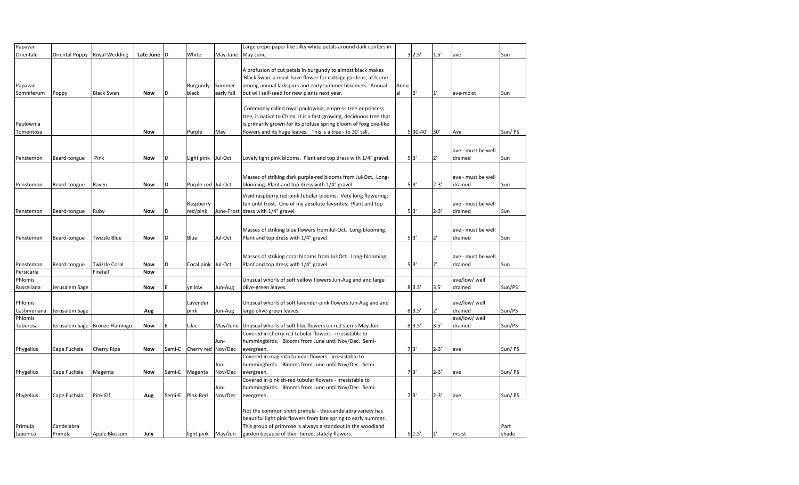| Papavar                |                              |                                |                          |                  |                               |                 | Large crepe-paper like silky white petals around dark centers in                                                                                                                                                                                                   |      |                |                      |                               |                  |
|------------------------|------------------------------|--------------------------------|--------------------------|------------------|-------------------------------|-----------------|--------------------------------------------------------------------------------------------------------------------------------------------------------------------------------------------------------------------------------------------------------------------|------|----------------|----------------------|-------------------------------|------------------|
| Orientale              | Oriental Poppy               | <b>Royal Wedding</b>           | Late June D              |                  | White                         | May-June        | May-June.                                                                                                                                                                                                                                                          |      | 3 2.5'         | 1.5'                 | ave                           | Sun              |
| Papavar                |                              |                                |                          |                  | Burgundy-Summer-              |                 | A profusion of cut petals in burgundy to almost black makes<br>'Black Swan' a must-have flower for cottage gardens, at home<br>among annual larkspurs and early summer bloomers. Annual                                                                            | Annu |                |                      |                               |                  |
| Somniferum             | Poppy                        | <b>Black Swan</b>              | <b>Now</b>               | ID               | black                         | early fall      | but will self-seed for new plants next year.                                                                                                                                                                                                                       | al   | 2'             | $1^{\prime}$         | ave-moist                     | Sun              |
| Paulownia<br>Tomentosa |                              |                                | <b>Now</b>               |                  | Purple                        | May             | Commonly called royal paulownia, empress tree or princess<br>tree, is native to China. It is a fast-growing, deciduous tree that<br>is primarily grown for its profuse spring bloom of foxglove-like<br>flowers and its huge leaves. This is a tree - to 30' tall. |      | 5 30-40        | 30'                  | Ave                           | Sun/PS           |
| Penstemon              | Beard-tongue                 | Pink                           | Now                      | D                | Light pink Jul-Oct            |                 | Lovely light pink blooms. Plant and top dress with 1/4" gravel.                                                                                                                                                                                                    |      | 5 3"           |                      | ave - must be well<br>drained | Sun              |
| Penstemon              | Beard-tongue                 | Raven                          | Now                      | D                | Purple-red Jul-Oct            |                 | Masses of striking dark purple-red blooms from Jul-Oct. Long-<br>blooming. Plant and top dress with 1/4" gravel.                                                                                                                                                   |      | 5 <sup>3</sup> | $2 - 3'$             | ave - must be well<br>drained | Sun              |
| Penstemon              | Beard-tongue                 | Ruby                           | <b>Now</b>               | D                | Raspberry<br>red/pink         |                 | Vivid raspberry red-pink tubular blooms. Very long flowering:<br>Jun until frost. One of my absolute favorites. Plant and top<br>June-Frost dress with 1/4" gravel.                                                                                                |      | 5 <sup>3</sup> | $2 - 3'$             | ave - must be well<br>drained | Sun              |
| Penstemon              | Beard-tongue                 | <b>Twizzle Blue</b>            | Now                      | D                | Blue                          | Jul-Oct         | Masses of striking blue flowers from Jul-Oct. Long-blooming.<br>Plant and top dress with 1/4" gravel.                                                                                                                                                              |      | 5 <sup>3</sup> | 2'                   | ave - must be well<br>drained | Sun              |
| Penstemon              | Beard-tongue                 | <b>Twizzle Coral</b>           | Now                      | D                | Coral pink Jul-Oct            |                 | Masses of striking coral blooms from Jul-Oct. Long-blooming.<br>Plant and top dress with 1/4" gravel.                                                                                                                                                              |      | 5'3'           | $2^1$                | ave - must be well<br>drained | Sun              |
| Persicaria             |                              | Firetail                       | <b>Now</b>               |                  |                               |                 |                                                                                                                                                                                                                                                                    |      |                |                      |                               |                  |
| Phlomis<br>Russeliana  | Jerusalem Sage               |                                | Now                      |                  | yellow                        | Jun-Aug         | Unusual whorls of soft yellow flowers Jun-Aug and and large<br>olive-green leaves.                                                                                                                                                                                 |      | 8 3.5'         | 3.5'                 | ave/low/ well<br>drained      | Sun/PS           |
| Phlomis<br>Cashmeriana | Jerusalem Sage               |                                | Aug                      |                  | Lavender<br>pink              | Jun-Aug         | Unusual whorls of soft lavender-pink flowers Jun-Aug and and<br>large olive-green leaves.                                                                                                                                                                          |      | 83.5'          | $2^+$                | ave/low/ well<br>drained      | Sun/PS           |
| Phlomis<br>Tuberosa    |                              | Jerusalem Sage Bronze Flamingo | Now                      |                  | Lilac                         | May/June        | Unusual whorls of soft lilac flowers on red stems May-Jun.                                                                                                                                                                                                         |      | 8'3.5'         | 3.5'                 | ave/low/ well<br>drained      | Sun/PS           |
|                        |                              |                                |                          |                  |                               | Jun-            | Covered in cherry red tubular flowers - irresistable to<br>hummingbirds. Blooms from June until Nov/Dec. Semi-                                                                                                                                                     |      |                |                      |                               |                  |
| Phygelius<br>Phygelius | Cape Fuchsia<br>Cape Fuchsia | Cherry Ripe<br>Magenta         | <b>Now</b><br><b>Now</b> | Semi-E<br>Semi-E | Cherry red Nov/Dec<br>Magenta | Jun-<br>Nov/Dec | evergreen.<br>Covered in magenta tubular flowers - irresistable to<br>hummingbirds. Blooms from June until Nov/Dec. Semi-<br>evergreen.                                                                                                                            |      | 7'3'<br>7'3'   | $2 - 3'$<br>$2 - 3'$ | ave<br>ave                    | Sun/PS<br>Sun/PS |
| Phygelius              | Cape Fuchsia                 | Pink Elf                       | Aug                      | Semi-E           | Pink-Red                      | Jun-<br>Nov/Dec | Covered in pinkish-red tubular flowers - irresistable to<br>hummingbirds. Blooms from June until Nov/Dec. Semi-<br>evergreen.                                                                                                                                      |      | 7'3'           | $2 - 3'$             | ave                           | Sun/PS           |
| Primula<br>Japonica    | Candelabra<br>Primula        | Apple Blossom                  | July                     |                  | light pink May/Jun            |                 | Not the common short primula - this candelabra variety has<br>beautiful light pink flowers from late spring to early summer.<br>This group of primrose is always a standout in the woodland<br>garden because of their tiered, stately flowers.                    |      | 5 1.5'         | $11^{\circ}$         | moist                         | Part<br>shade    |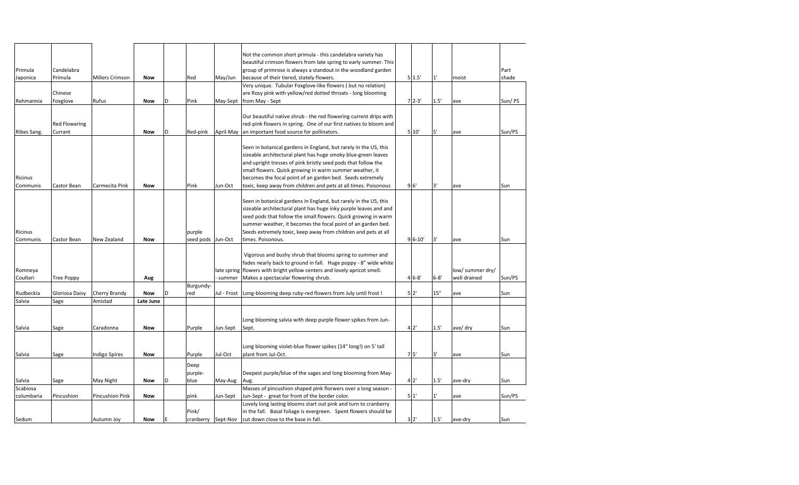|             |                      |                 |            |   |                    |             | Not the common short primula - this candelabra variety has               |                |          |                  |        |
|-------------|----------------------|-----------------|------------|---|--------------------|-------------|--------------------------------------------------------------------------|----------------|----------|------------------|--------|
|             |                      |                 |            |   |                    |             | beautiful crimson flowers from late spring to early summer. This         |                |          |                  |        |
| Primula     | Candelabra           |                 |            |   |                    |             | group of primrose is always a standout in the woodland garden            |                |          |                  | Part   |
| Japonica    | Primula              | Millers Crimson | Now        |   | Red                | May/Jun     | because of their tiered, stately flowers.                                | 5' 1.5'        | 1'       | moist            | shade  |
|             |                      |                 |            |   |                    |             | Very unique. Tubular Foxglove-like flowers (but no relation)             |                |          |                  |        |
|             | Chinese              |                 |            |   |                    |             | are Rosy pink with yellow/red dotted throats - long blooming             |                |          |                  |        |
| Rehmannia   | Foxglove             | Rufus           | Now        | D | Pink               |             | May-Sept   from May - Sept                                               | $7'2-3'$       | 1.5'     | ave              | Sun/PS |
|             |                      |                 |            |   |                    |             |                                                                          |                |          |                  |        |
|             |                      |                 |            |   |                    |             | Our beautiful native shrub - the red flowering current drips with        |                |          |                  |        |
|             | <b>Red Flowering</b> |                 |            |   |                    |             | red-pink flowers in spring. One of our first natives to bloom and        |                |          |                  |        |
| Ribes Sang. | Currant              |                 | Now        | D | Red-pink           | April-May   | an important food source for pollinators.                                | 5 10'          | 5'       | ave              | Sun/PS |
|             |                      |                 |            |   |                    |             |                                                                          |                |          |                  |        |
|             |                      |                 |            |   |                    |             | Seen in botanical gardens in England, but rarely in the US, this         |                |          |                  |        |
|             |                      |                 |            |   |                    |             | sizeable architectural plant has huge smoky blue-green leaves            |                |          |                  |        |
|             |                      |                 |            |   |                    |             | and upright tresses of pink bristly seed pods that follow the            |                |          |                  |        |
|             |                      |                 |            |   |                    |             | small flowers. Quick growing in warm summer weather, it                  |                |          |                  |        |
| Ricinus     |                      |                 |            |   |                    |             | becomes the focal point of an garden bed. Seeds extremely                |                |          |                  |        |
| Communis    | Castor Bean          | Carmecita Pink  | <b>Now</b> |   | Pink               | Jun-Oct     | toxic, keep away from children and pets at all times. Poisonous          | 9 <sub>6</sub> | 3'       | ave              | Sun    |
|             |                      |                 |            |   |                    |             |                                                                          |                |          |                  |        |
|             |                      |                 |            |   |                    |             | Seen in botanical gardens in England, but rarely in the US, this         |                |          |                  |        |
|             |                      |                 |            |   |                    |             | sizeable architectural plant has huge inky purple leaves and and         |                |          |                  |        |
|             |                      |                 |            |   |                    |             | seed pods that follow the small flowers. Quick growing in warm           |                |          |                  |        |
|             |                      |                 |            |   |                    |             | summer weather, it becomes the focal point of an garden bed.             |                |          |                  |        |
| Ricinus     |                      |                 |            |   | purple             |             | Seeds extremely toxic, keep away from children and pets at all           |                |          |                  |        |
| Communis    | Castor Bean          | New Zealand     | <b>Now</b> |   | seed pods Jun-Oct  |             | times. Poisonous.                                                        | $96-10'$       | 3'       | ave              | Sun    |
|             |                      |                 |            |   |                    |             |                                                                          |                |          |                  |        |
|             |                      |                 |            |   |                    |             | Vigorous and bushy shrub that blooms spring to summer and                |                |          |                  |        |
|             |                      |                 |            |   |                    |             | fades nearly back to ground in fall. Huge poppy - 8" wide white          |                |          |                  |        |
| Romneya     |                      |                 |            |   |                    |             | late spring flowers with bright yellow centers and lovely apricot smell. |                |          | low/ summer dry/ |        |
| Coulteri    | <b>Tree Poppy</b>    |                 |            |   |                    | summer      | Makes a spectacular flowering shrub.                                     | $46 - 8'$      | $6 - 8'$ | well drained     | Sun/PS |
|             |                      |                 | Aug        |   | Burgundy-          |             |                                                                          |                |          |                  |        |
| Rudbeckia   | Gloriosa Daisy       | Cherry Brandy   | Now        | D | red                | Jul - Frost | Long-blooming deep ruby-red flowers from July until frost !              | 5'2'           | 15"      | ave              | Sun    |
| Salvia      | Sage                 | Amistad         | Late June  |   |                    |             |                                                                          |                |          |                  |        |
|             |                      |                 |            |   |                    |             |                                                                          |                |          |                  |        |
|             |                      |                 |            |   |                    |             |                                                                          |                |          |                  |        |
|             |                      |                 |            |   |                    |             | Long blooming salvia with deep purple flower spikes from Jun-            |                |          |                  |        |
| Salvia      | Sage                 | Caradonna       | <b>Now</b> |   | Purple             | Jun-Sept    | Sept.                                                                    | 42'            | 1.5'     | ave/ dry         | Sun    |
|             |                      |                 |            |   |                    |             |                                                                          |                |          |                  |        |
|             |                      |                 |            |   |                    |             | Long blooming violet-blue flower spikes (14" long!) on 5' tall           |                |          |                  |        |
|             |                      |                 |            |   |                    |             |                                                                          | 75'            | 3'       |                  |        |
| Salvia      | Sage                 | Indigo Spires   | <b>Now</b> |   | Purple             | Jul-Oct     | plant from Jul-Oct.                                                      |                |          | ave              | Sun    |
|             |                      |                 |            |   | Deep               |             |                                                                          |                |          |                  |        |
|             |                      |                 |            |   | purple-            |             | Deepest purple/blue of the sages and long blooming from May-             |                |          |                  |        |
| Salvia      | Sage                 | May Night       | Now        | D | blue               | May-Aug     | Aug.                                                                     | 42'            | 1.5'     | ave-dry          | Sun    |
| Scabiosa    |                      |                 |            |   |                    |             | Masses of pincushion shaped pink florwers over a long season -           |                |          |                  |        |
| columbaria  | Pincushion           | Pincushion Pink | Now        |   | pink               | Jun-Sept    | Jun-Sept - great for front of the border color.                          | 5 <sup>1</sup> | 1'       | ave              | Sun/PS |
|             |                      |                 |            |   |                    |             | Lovely long lasting blooms start out pink and turn to cranberry          |                |          |                  |        |
|             |                      |                 |            |   | Pink/              |             | in the fall. Basal foliage is evergreen. Spent flowers should be         |                |          |                  |        |
| Sedum       |                      | Autumn Joy      | Now        |   | cranberry Sept-Nov |             | cut down close to the base in fall.                                      | 3'2'           | 1.5'     | ave-dry          | Sun    |